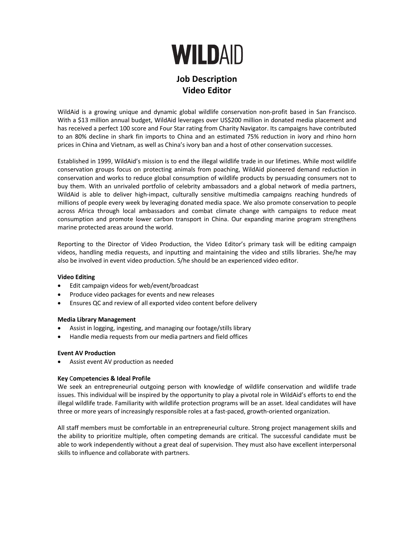# **WILDAID**

# **Job Description Video Editor**

WildAid is a growing unique and dynamic global wildlife conservation non-profit based in San Francisco. With a \$13 million annual budget, WildAid leverages over US\$200 million in donated media placement and has received a perfect 100 score and Four Star rating from Charity Navigator. Its campaigns have contributed to an 80% decline in shark fin imports to China and an estimated 75% reduction in ivory and rhino horn prices in China and Vietnam, as well as China's ivory ban and a host of other conservation successes.

Established in 1999, WildAid's mission is to end the illegal wildlife trade in our lifetimes. While most wildlife conservation groups focus on protecting animals from poaching, WildAid pioneered demand reduction in conservation and works to reduce global consumption of wildlife products by persuading consumers not to buy them. With an unrivaled portfolio of celebrity ambassadors and a global network of media partners, WildAid is able to deliver high-impact, culturally sensitive multimedia campaigns reaching hundreds of millions of people every week by leveraging donated media space. We also promote conservation to people across Africa through local ambassadors and combat climate change with campaigns to reduce meat consumption and promote lower carbon transport in China. Our expanding marine program strengthens marine protected areas around the world.

Reporting to the Director of Video Production, the Video Editor's primary task will be editing campaign videos, handling media requests, and inputting and maintaining the video and stills libraries. She/he may also be involved in event video production. S/he should be an experienced video editor.

# **Video Editing**

- Edit campaign videos for web/event/broadcast
- Produce video packages for events and new releases
- Ensures QC and review of all exported video content before delivery

#### **Media Library Management**

- Assist in logging, ingesting, and managing our footage/stills library
- Handle media requests from our media partners and field offices

#### **Event AV Production**

• Assist event AV production as needed

#### **Key** C**om**p**etenc**i**es & Ideal Prof**i**le**

We seek an entrepreneurial outgoing person with knowledge of wildlife conservation and wildlife trade issues. This individual will be inspired by the opportunity to play a pivotal role in WildAid's efforts to end the illegal wildlife trade. Familiarity with wildlife protection programs will be an asset. Ideal candidates will have three or more years of increasingly responsible roles at a fast-paced, growth-oriented organization.

All staff members must be comfortable in an entrepreneurial culture. Strong project management skills and the ability to prioritize multiple, often competing demands are critical. The successful candidate must be able to work independently without a great deal of supervision. They must also have excellent interpersonal skills to influence and collaborate with partners.